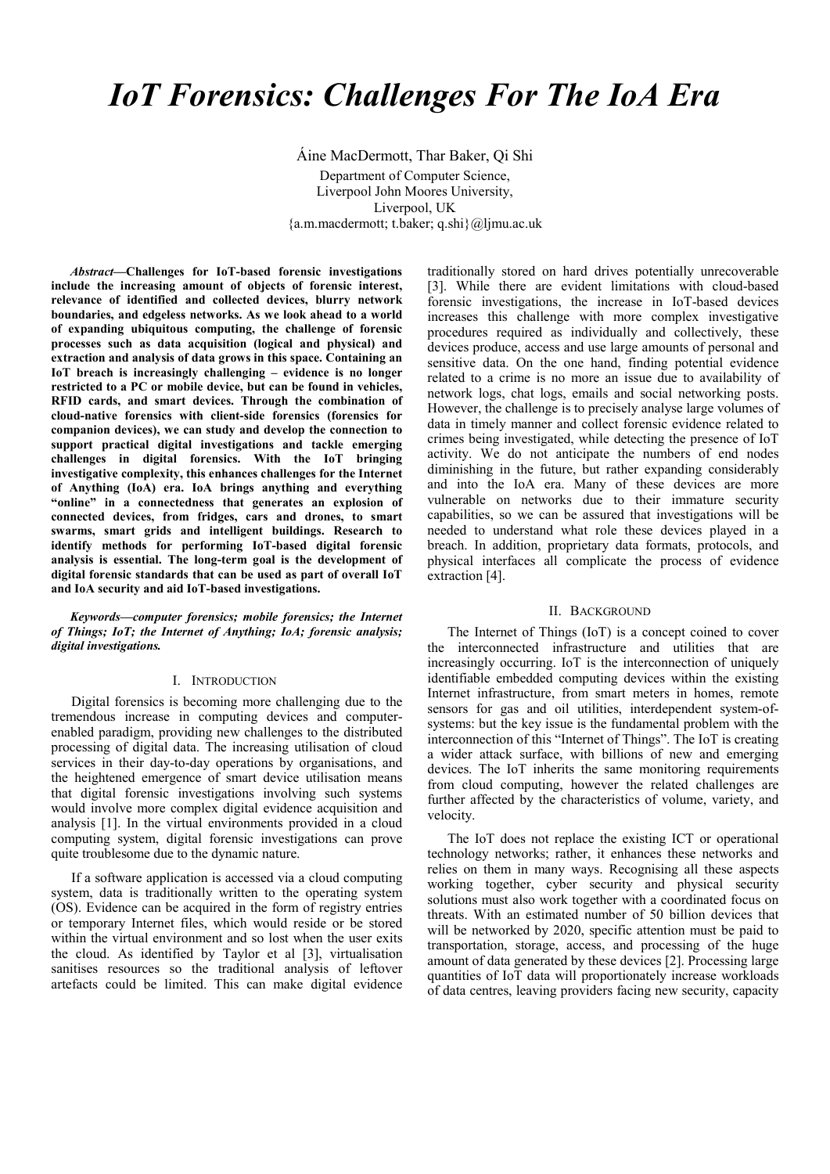# *IoT Forensics: Challenges For The IoA Era*

Áine MacDermott, Thar Baker, Qi Shi Department of Computer Science, Liverpool John Moores University, Liverpool, UK {a.m.macdermott; t.baker; q.shi}@ljmu.ac.uk

*Abstract***—Challenges for IoT-based forensic investigations include the increasing amount of objects of forensic interest, relevance of identified and collected devices, blurry network boundaries, and edgeless networks. As we look ahead to a world of expanding ubiquitous computing, the challenge of forensic processes such as data acquisition (logical and physical) and extraction and analysis of data grows in this space. Containing an IoT breach is increasingly challenging – evidence is no longer restricted to a PC or mobile device, but can be found in vehicles, RFID cards, and smart devices. Through the combination of cloud-native forensics with client-side forensics (forensics for companion devices), we can study and develop the connection to support practical digital investigations and tackle emerging challenges in digital forensics. With the IoT bringing investigative complexity, this enhances challenges for the Internet of Anything (IoA) era. IoA brings anything and everything "online" in a connectedness that generates an explosion of connected devices, from fridges, cars and drones, to smart swarms, smart grids and intelligent buildings. Research to identify methods for performing IoT-based digital forensic analysis is essential. The long-term goal is the development of digital forensic standards that can be used as part of overall IoT and IoA security and aid IoT-based investigations.** 

*Keywords—computer forensics; mobile forensics; the Internet of Things; IoT; the Internet of Anything; IoA; forensic analysis; digital investigations.* 

#### I. INTRODUCTION

Digital forensics is becoming more challenging due to the tremendous increase in computing devices and computerenabled paradigm, providing new challenges to the distributed processing of digital data. The increasing utilisation of cloud services in their day-to-day operations by organisations, and the heightened emergence of smart device utilisation means that digital forensic investigations involving such systems would involve more complex digital evidence acquisition and analysis [1]. In the virtual environments provided in a cloud computing system, digital forensic investigations can prove quite troublesome due to the dynamic nature.

If a software application is accessed via a cloud computing system, data is traditionally written to the operating system (OS). Evidence can be acquired in the form of registry entries or temporary Internet files, which would reside or be stored within the virtual environment and so lost when the user exits the cloud. As identified by Taylor et al [3], virtualisation sanitises resources so the traditional analysis of leftover artefacts could be limited. This can make digital evidence

traditionally stored on hard drives potentially unrecoverable [3]. While there are evident limitations with cloud-based forensic investigations, the increase in IoT-based devices increases this challenge with more complex investigative procedures required as individually and collectively, these devices produce, access and use large amounts of personal and sensitive data. On the one hand, finding potential evidence related to a crime is no more an issue due to availability of network logs, chat logs, emails and social networking posts. However, the challenge is to precisely analyse large volumes of data in timely manner and collect forensic evidence related to crimes being investigated, while detecting the presence of IoT activity. We do not anticipate the numbers of end nodes diminishing in the future, but rather expanding considerably and into the IoA era. Many of these devices are more vulnerable on networks due to their immature security capabilities, so we can be assured that investigations will be needed to understand what role these devices played in a breach. In addition, proprietary data formats, protocols, and physical interfaces all complicate the process of evidence extraction [4].

## II. BACKGROUND

The Internet of Things (IoT) is a concept coined to cover the interconnected infrastructure and utilities that are increasingly occurring. IoT is the interconnection of uniquely identifiable embedded computing devices within the existing Internet infrastructure, from smart meters in homes, remote sensors for gas and oil utilities, interdependent system-ofsystems: but the key issue is the fundamental problem with the interconnection of this "Internet of Things". The IoT is creating a wider attack surface, with billions of new and emerging devices. The IoT inherits the same monitoring requirements from cloud computing, however the related challenges are further affected by the characteristics of volume, variety, and velocity.

The IoT does not replace the existing ICT or operational technology networks; rather, it enhances these networks and relies on them in many ways. Recognising all these aspects working together, cyber security and physical security solutions must also work together with a coordinated focus on threats. With an estimated number of 50 billion devices that will be networked by 2020, specific attention must be paid to transportation, storage, access, and processing of the huge amount of data generated by these devices [2]. Processing large quantities of IoT data will proportionately increase workloads of data centres, leaving providers facing new security, capacity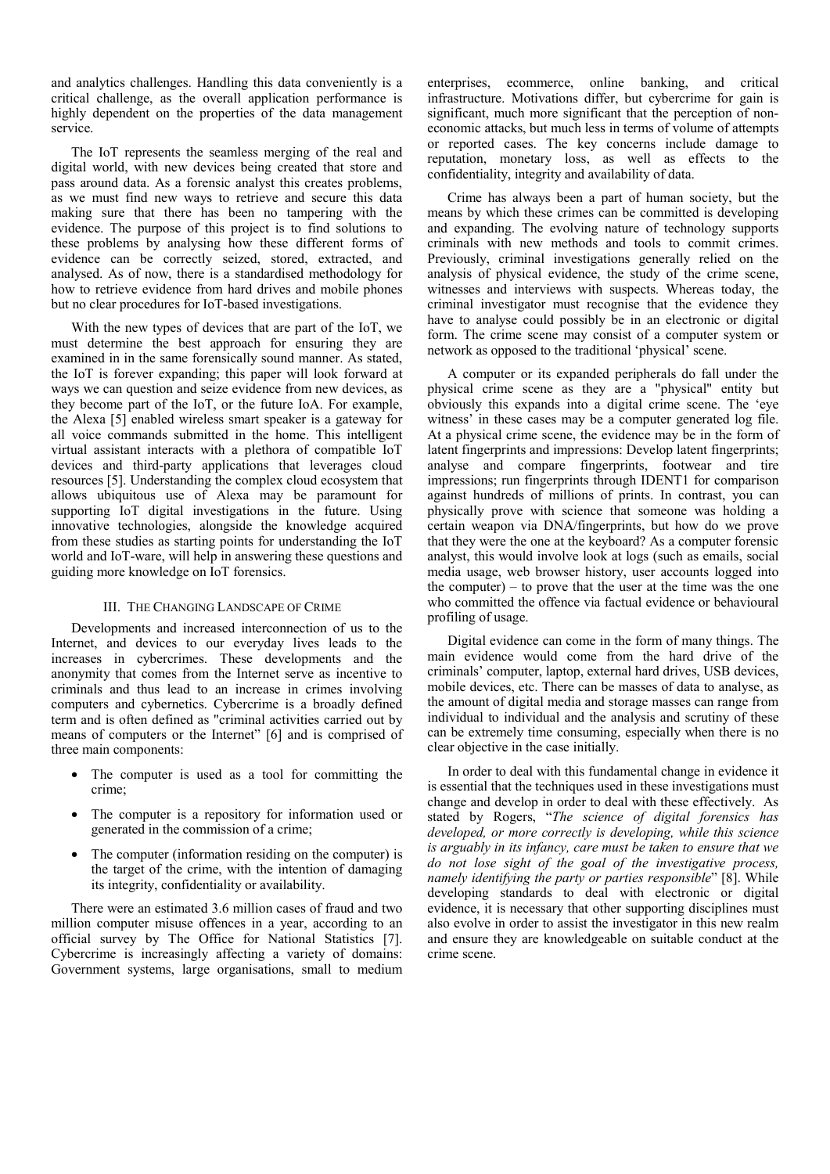and analytics challenges. Handling this data conveniently is a critical challenge, as the overall application performance is highly dependent on the properties of the data management service.

The IoT represents the seamless merging of the real and digital world, with new devices being created that store and pass around data. As a forensic analyst this creates problems, as we must find new ways to retrieve and secure this data making sure that there has been no tampering with the evidence. The purpose of this project is to find solutions to these problems by analysing how these different forms of evidence can be correctly seized, stored, extracted, and analysed. As of now, there is a standardised methodology for how to retrieve evidence from hard drives and mobile phones but no clear procedures for IoT-based investigations.

With the new types of devices that are part of the IoT, we must determine the best approach for ensuring they are examined in in the same forensically sound manner. As stated, the IoT is forever expanding; this paper will look forward at ways we can question and seize evidence from new devices, as they become part of the IoT, or the future IoA. For example, the Alexa [5] enabled wireless smart speaker is a gateway for all voice commands submitted in the home. This intelligent virtual assistant interacts with a plethora of compatible IoT devices and third-party applications that leverages cloud resources [5]. Understanding the complex cloud ecosystem that allows ubiquitous use of Alexa may be paramount for supporting IoT digital investigations in the future. Using innovative technologies, alongside the knowledge acquired from these studies as starting points for understanding the IoT world and IoT-ware, will help in answering these questions and guiding more knowledge on IoT forensics.

# III. THE CHANGING LANDSCAPE OF CRIME

Developments and increased interconnection of us to the Internet, and devices to our everyday lives leads to the increases in cybercrimes. These developments and the anonymity that comes from the Internet serve as incentive to criminals and thus lead to an increase in crimes involving computers and cybernetics. Cybercrime is a broadly defined term and is often defined as "criminal activities carried out by means of computers or the Internet" [6] and is comprised of three main components:

- The computer is used as a tool for committing the crime;
- The computer is a repository for information used or generated in the commission of a crime;
- The computer (information residing on the computer) is the target of the crime, with the intention of damaging its integrity, confidentiality or availability.

There were an estimated 3.6 million cases of fraud and two million computer misuse offences in a year, according to an official survey by The Office for National Statistics [7]. Cybercrime is increasingly affecting a variety of domains: Government systems, large organisations, small to medium enterprises, ecommerce, online banking, and critical infrastructure. Motivations differ, but cybercrime for gain is significant, much more significant that the perception of noneconomic attacks, but much less in terms of volume of attempts or reported cases. The key concerns include damage to reputation, monetary loss, as well as effects to the confidentiality, integrity and availability of data.

Crime has always been a part of human society, but the means by which these crimes can be committed is developing and expanding. The evolving nature of technology supports criminals with new methods and tools to commit crimes. Previously, criminal investigations generally relied on the analysis of physical evidence, the study of the crime scene, witnesses and interviews with suspects. Whereas today, the criminal investigator must recognise that the evidence they have to analyse could possibly be in an electronic or digital form. The crime scene may consist of a computer system or network as opposed to the traditional 'physical' scene.

A computer or its expanded peripherals do fall under the physical crime scene as they are a "physical" entity but obviously this expands into a digital crime scene. The 'eye witness' in these cases may be a computer generated log file. At a physical crime scene, the evidence may be in the form of latent fingerprints and impressions: Develop latent fingerprints; analyse and compare fingerprints, footwear and tire impressions; run fingerprints through IDENT1 for comparison against hundreds of millions of prints. In contrast, you can physically prove with science that someone was holding a certain weapon via DNA/fingerprints, but how do we prove that they were the one at the keyboard? As a computer forensic analyst, this would involve look at logs (such as emails, social media usage, web browser history, user accounts logged into the computer) – to prove that the user at the time was the one who committed the offence via factual evidence or behavioural profiling of usage.

Digital evidence can come in the form of many things. The main evidence would come from the hard drive of the criminals' computer, laptop, external hard drives, USB devices, mobile devices, etc. There can be masses of data to analyse, as the amount of digital media and storage masses can range from individual to individual and the analysis and scrutiny of these can be extremely time consuming, especially when there is no clear objective in the case initially.

In order to deal with this fundamental change in evidence it is essential that the techniques used in these investigations must change and develop in order to deal with these effectively. As stated by Rogers, "*The science of digital forensics has developed, or more correctly is developing, while this science is arguably in its infancy, care must be taken to ensure that we do not lose sight of the goal of the investigative process, namely identifying the party or parties responsible*" [8]. While developing standards to deal with electronic or digital evidence, it is necessary that other supporting disciplines must also evolve in order to assist the investigator in this new realm and ensure they are knowledgeable on suitable conduct at the crime scene.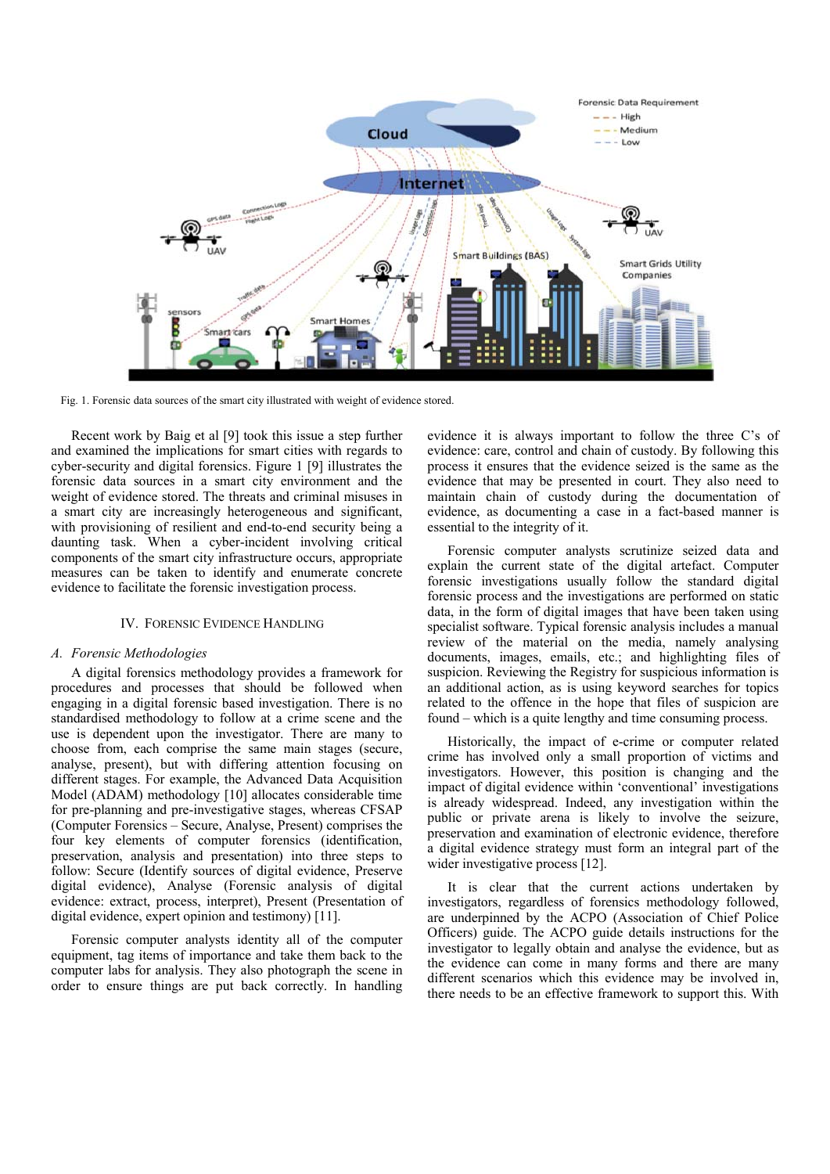

Fig. 1. Forensic data sources of the smart city illustrated with weight of evidence stored.

Recent work by Baig et al [9] took this issue a step further and examined the implications for smart cities with regards to cyber-security and digital forensics. Figure 1 [9] illustrates the forensic data sources in a smart city environment and the weight of evidence stored. The threats and criminal misuses in a smart city are increasingly heterogeneous and significant, with provisioning of resilient and end-to-end security being a daunting task. When a cyber-incident involving critical components of the smart city infrastructure occurs, appropriate measures can be taken to identify and enumerate concrete evidence to facilitate the forensic investigation process.

## IV. FORENSIC EVIDENCE HANDLING

### *A. Forensic Methodologies*

A digital forensics methodology provides a framework for procedures and processes that should be followed when engaging in a digital forensic based investigation. There is no standardised methodology to follow at a crime scene and the use is dependent upon the investigator. There are many to choose from, each comprise the same main stages (secure, analyse, present), but with differing attention focusing on different stages. For example, the Advanced Data Acquisition Model (ADAM) methodology [10] allocates considerable time for pre-planning and pre-investigative stages, whereas CFSAP (Computer Forensics – Secure, Analyse, Present) comprises the four key elements of computer forensics (identification, preservation, analysis and presentation) into three steps to follow: Secure (Identify sources of digital evidence, Preserve digital evidence), Analyse (Forensic analysis of digital evidence: extract, process, interpret), Present (Presentation of digital evidence, expert opinion and testimony) [11].

Forensic computer analysts identity all of the computer equipment, tag items of importance and take them back to the computer labs for analysis. They also photograph the scene in order to ensure things are put back correctly. In handling evidence it is always important to follow the three C's of evidence: care, control and chain of custody. By following this process it ensures that the evidence seized is the same as the evidence that may be presented in court. They also need to maintain chain of custody during the documentation of evidence, as documenting a case in a fact-based manner is essential to the integrity of it.

Forensic computer analysts scrutinize seized data and explain the current state of the digital artefact. Computer forensic investigations usually follow the standard digital forensic process and the investigations are performed on static data, in the form of digital images that have been taken using specialist software. Typical forensic analysis includes a manual review of the material on the media, namely analysing documents, images, emails, etc.; and highlighting files of suspicion. Reviewing the Registry for suspicious information is an additional action, as is using keyword searches for topics related to the offence in the hope that files of suspicion are found – which is a quite lengthy and time consuming process.

Historically, the impact of e-crime or computer related crime has involved only a small proportion of victims and investigators. However, this position is changing and the impact of digital evidence within 'conventional' investigations is already widespread. Indeed, any investigation within the public or private arena is likely to involve the seizure, preservation and examination of electronic evidence, therefore a digital evidence strategy must form an integral part of the wider investigative process [12].

It is clear that the current actions undertaken by investigators, regardless of forensics methodology followed, are underpinned by the ACPO (Association of Chief Police Officers) guide. The ACPO guide details instructions for the investigator to legally obtain and analyse the evidence, but as the evidence can come in many forms and there are many different scenarios which this evidence may be involved in, there needs to be an effective framework to support this. With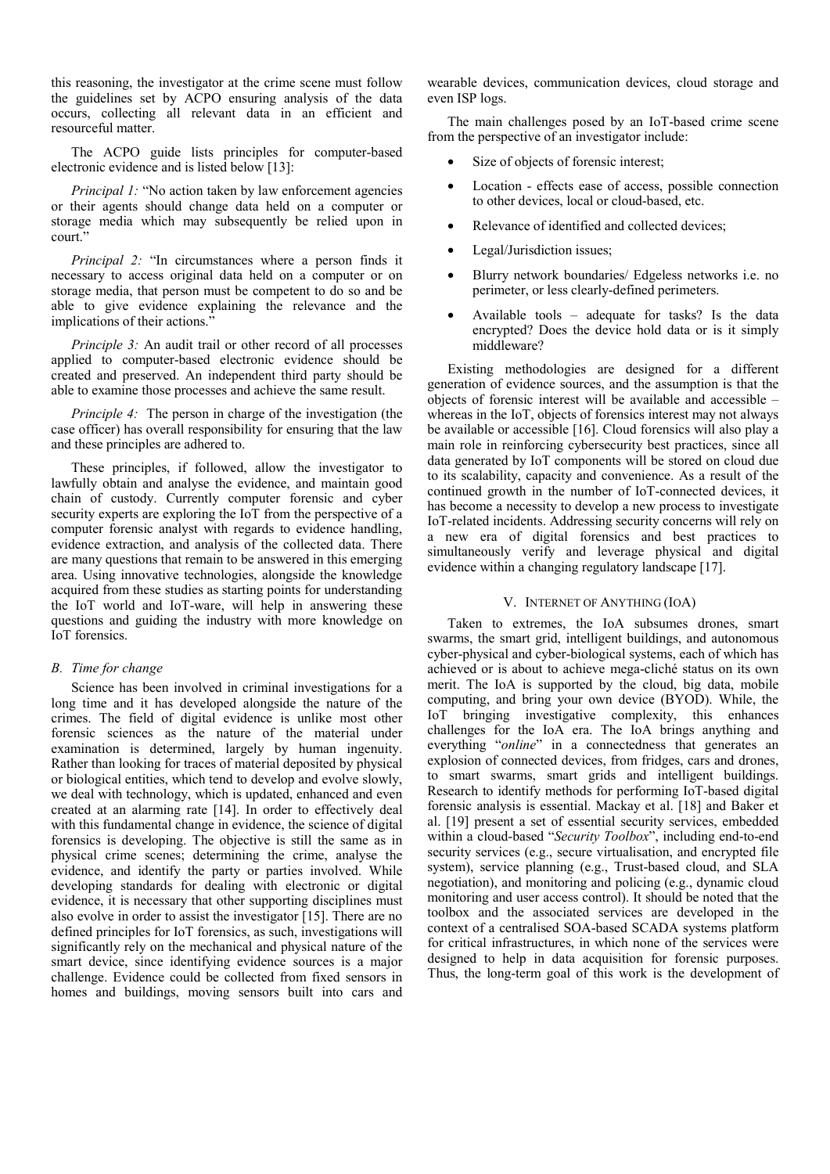this reasoning, the investigator at the crime scene must follow the guidelines set by ACPO ensuring analysis of the data occurs, collecting all relevant data in an efficient and resourceful matter.

The ACPO guide lists principles for computer-based electronic evidence and is listed below [13]:

*Principal 1:* "No action taken by law enforcement agencies or their agents should change data held on a computer or storage media which may subsequently be relied upon in court."

*Principal 2:* "In circumstances where a person finds it necessary to access original data held on a computer or on storage media, that person must be competent to do so and be able to give evidence explaining the relevance and the implications of their actions."

*Principle 3:* An audit trail or other record of all processes applied to computer-based electronic evidence should be created and preserved. An independent third party should be able to examine those processes and achieve the same result.

*Principle 4:* The person in charge of the investigation (the case officer) has overall responsibility for ensuring that the law and these principles are adhered to.

These principles, if followed, allow the investigator to lawfully obtain and analyse the evidence, and maintain good chain of custody. Currently computer forensic and cyber security experts are exploring the IoT from the perspective of a computer forensic analyst with regards to evidence handling, evidence extraction, and analysis of the collected data. There are many questions that remain to be answered in this emerging area. Using innovative technologies, alongside the knowledge acquired from these studies as starting points for understanding the IoT world and IoT-ware, will help in answering these questions and guiding the industry with more knowledge on IoT forensics.

# *B. Time for change*

Science has been involved in criminal investigations for a long time and it has developed alongside the nature of the crimes. The field of digital evidence is unlike most other forensic sciences as the nature of the material under examination is determined, largely by human ingenuity. Rather than looking for traces of material deposited by physical or biological entities, which tend to develop and evolve slowly, we deal with technology, which is updated, enhanced and even created at an alarming rate [14]. In order to effectively deal with this fundamental change in evidence, the science of digital forensics is developing. The objective is still the same as in physical crime scenes; determining the crime, analyse the evidence, and identify the party or parties involved. While developing standards for dealing with electronic or digital evidence, it is necessary that other supporting disciplines must also evolve in order to assist the investigator [15]. There are no defined principles for IoT forensics, as such, investigations will significantly rely on the mechanical and physical nature of the smart device, since identifying evidence sources is a major challenge. Evidence could be collected from fixed sensors in homes and buildings, moving sensors built into cars and

wearable devices, communication devices, cloud storage and even ISP logs.

The main challenges posed by an IoT-based crime scene from the perspective of an investigator include:

- Size of objects of forensic interest;
- Location effects ease of access, possible connection to other devices, local or cloud-based, etc.
- Relevance of identified and collected devices;
- Legal/Jurisdiction issues;
- Blurry network boundaries/ Edgeless networks i.e. no perimeter, or less clearly-defined perimeters.
- Available tools adequate for tasks? Is the data encrypted? Does the device hold data or is it simply middleware?

Existing methodologies are designed for a different generation of evidence sources, and the assumption is that the objects of forensic interest will be available and accessible – whereas in the IoT, objects of forensics interest may not always be available or accessible [16]. Cloud forensics will also play a main role in reinforcing cybersecurity best practices, since all data generated by IoT components will be stored on cloud due to its scalability, capacity and convenience. As a result of the continued growth in the number of IoT-connected devices, it has become a necessity to develop a new process to investigate IoT-related incidents. Addressing security concerns will rely on a new era of digital forensics and best practices to simultaneously verify and leverage physical and digital evidence within a changing regulatory landscape [17].

# V. INTERNET OF ANYTHING (IOA)

Taken to extremes, the IoA subsumes drones, smart swarms, the smart grid, intelligent buildings, and autonomous cyber-physical and cyber-biological systems, each of which has achieved or is about to achieve mega-cliché status on its own merit. The IoA is supported by the cloud, big data, mobile computing, and bring your own device (BYOD). While, the IoT bringing investigative complexity, this enhances challenges for the IoA era. The IoA brings anything and everything "*online*" in a connectedness that generates an explosion of connected devices, from fridges, cars and drones, to smart swarms, smart grids and intelligent buildings. Research to identify methods for performing IoT-based digital forensic analysis is essential. Mackay et al. [18] and Baker et al. [19] present a set of essential security services, embedded within a cloud-based "*Security Toolbox*", including end-to-end security services (e.g., secure virtualisation, and encrypted file system), service planning (e.g., Trust-based cloud, and SLA negotiation), and monitoring and policing (e.g., dynamic cloud monitoring and user access control). It should be noted that the toolbox and the associated services are developed in the context of a centralised SOA-based SCADA systems platform for critical infrastructures, in which none of the services were designed to help in data acquisition for forensic purposes. Thus, the long-term goal of this work is the development of